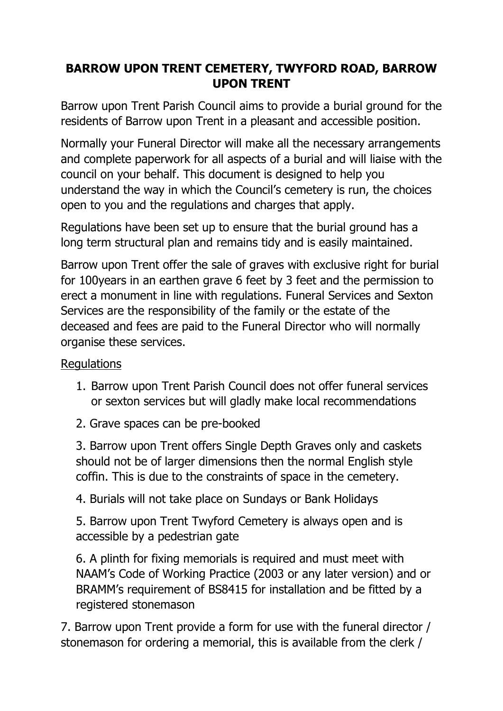## **BARROW UPON TRENT CEMETERY, TWYFORD ROAD, BARROW UPON TRENT**

Barrow upon Trent Parish Council aims to provide a burial ground for the residents of Barrow upon Trent in a pleasant and accessible position.

Normally your Funeral Director will make all the necessary arrangements and complete paperwork for all aspects of a burial and will liaise with the council on your behalf. This document is designed to help you understand the way in which the Council's cemetery is run, the choices open to you and the regulations and charges that apply.

Regulations have been set up to ensure that the burial ground has a long term structural plan and remains tidy and is easily maintained.

Barrow upon Trent offer the sale of graves with exclusive right for burial for 100years in an earthen grave 6 feet by 3 feet and the permission to erect a monument in line with regulations. Funeral Services and Sexton Services are the responsibility of the family or the estate of the deceased and fees are paid to the Funeral Director who will normally organise these services.

## Regulations

- 1. Barrow upon Trent Parish Council does not offer funeral services or sexton services but will gladly make local recommendations
- 2. Grave spaces can be pre-booked

3. Barrow upon Trent offers Single Depth Graves only and caskets should not be of larger dimensions then the normal English style coffin. This is due to the constraints of space in the cemetery.

4. Burials will not take place on Sundays or Bank Holidays

5. Barrow upon Trent Twyford Cemetery is always open and is accessible by a pedestrian gate

6. A plinth for fixing memorials is required and must meet with NAAM's Code of Working Practice (2003 or any later version) and or BRAMM's requirement of BS8415 for installation and be fitted by a registered stonemason

7. Barrow upon Trent provide a form for use with the funeral director / stonemason for ordering a memorial, this is available from the clerk /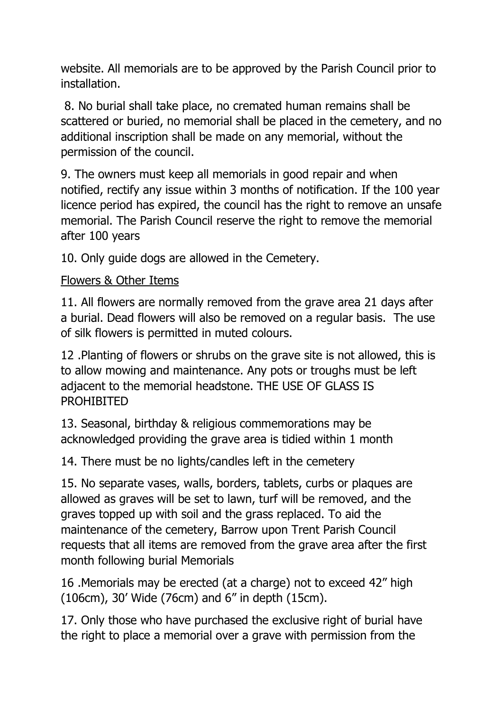website. All memorials are to be approved by the Parish Council prior to installation.

8. No burial shall take place, no cremated human remains shall be scattered or buried, no memorial shall be placed in the cemetery, and no additional inscription shall be made on any memorial, without the permission of the council.

9. The owners must keep all memorials in good repair and when notified, rectify any issue within 3 months of notification. If the 100 year licence period has expired, the council has the right to remove an unsafe memorial. The Parish Council reserve the right to remove the memorial after 100 years

10. Only guide dogs are allowed in the Cemetery.

## Flowers & Other Items

11. All flowers are normally removed from the grave area 21 days after a burial. Dead flowers will also be removed on a regular basis. The use of silk flowers is permitted in muted colours.

12 .Planting of flowers or shrubs on the grave site is not allowed, this is to allow mowing and maintenance. Any pots or troughs must be left adjacent to the memorial headstone. THE USE OF GLASS IS PROHIBITED

13. Seasonal, birthday & religious commemorations may be acknowledged providing the grave area is tidied within 1 month

14. There must be no lights/candles left in the cemetery

15. No separate vases, walls, borders, tablets, curbs or plaques are allowed as graves will be set to lawn, turf will be removed, and the graves topped up with soil and the grass replaced. To aid the maintenance of the cemetery, Barrow upon Trent Parish Council requests that all items are removed from the grave area after the first month following burial Memorials

16 .Memorials may be erected (at a charge) not to exceed 42" high (106cm), 30' Wide (76cm) and 6" in depth (15cm).

17. Only those who have purchased the exclusive right of burial have the right to place a memorial over a grave with permission from the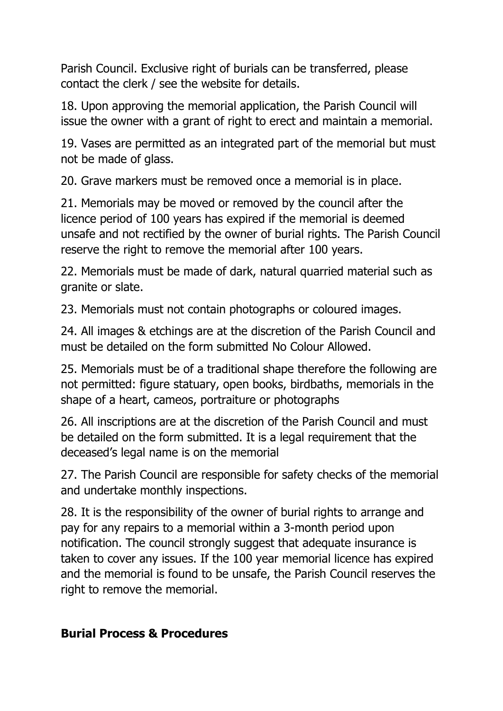Parish Council. Exclusive right of burials can be transferred, please contact the clerk / see the website for details.

18. Upon approving the memorial application, the Parish Council will issue the owner with a grant of right to erect and maintain a memorial.

19. Vases are permitted as an integrated part of the memorial but must not be made of glass.

20. Grave markers must be removed once a memorial is in place.

21. Memorials may be moved or removed by the council after the licence period of 100 years has expired if the memorial is deemed unsafe and not rectified by the owner of burial rights. The Parish Council reserve the right to remove the memorial after 100 years.

22. Memorials must be made of dark, natural quarried material such as granite or slate.

23. Memorials must not contain photographs or coloured images.

24. All images & etchings are at the discretion of the Parish Council and must be detailed on the form submitted No Colour Allowed.

25. Memorials must be of a traditional shape therefore the following are not permitted: figure statuary, open books, birdbaths, memorials in the shape of a heart, cameos, portraiture or photographs

26. All inscriptions are at the discretion of the Parish Council and must be detailed on the form submitted. It is a legal requirement that the deceased's legal name is on the memorial

27. The Parish Council are responsible for safety checks of the memorial and undertake monthly inspections.

28. It is the responsibility of the owner of burial rights to arrange and pay for any repairs to a memorial within a 3-month period upon notification. The council strongly suggest that adequate insurance is taken to cover any issues. If the 100 year memorial licence has expired and the memorial is found to be unsafe, the Parish Council reserves the right to remove the memorial.

## **Burial Process & Procedures**